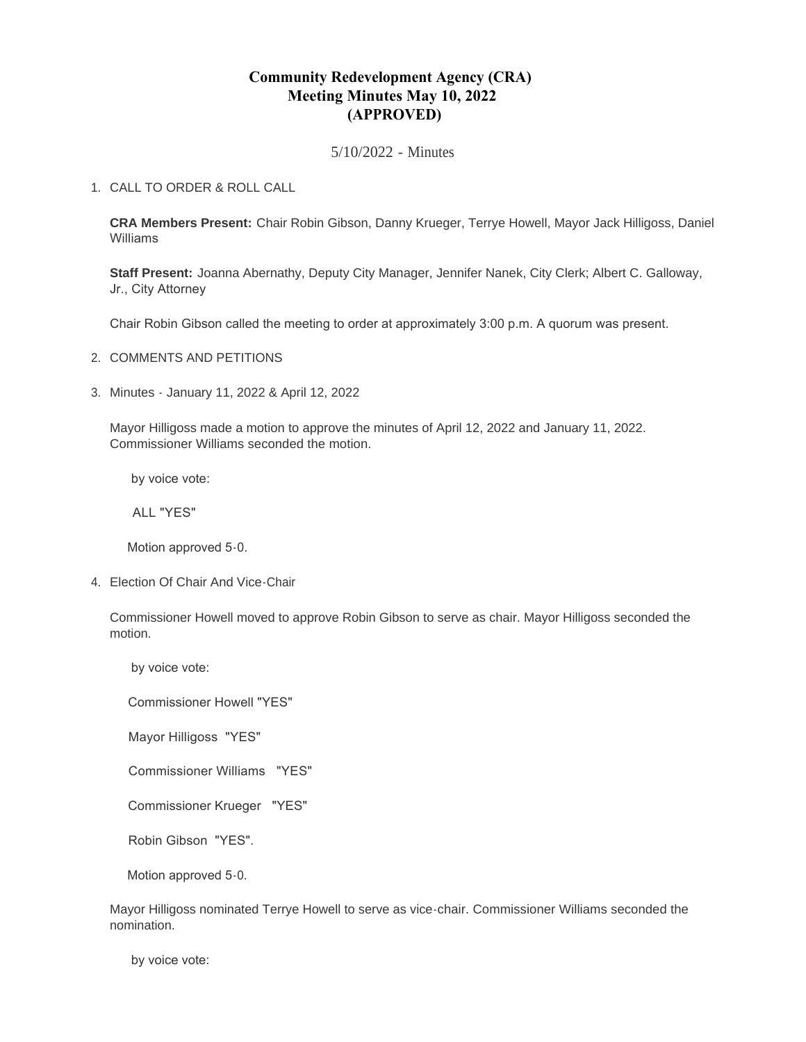# **Community Redevelopment Agency (CRA) Meeting Minutes May 10, 2022 (APPROVED)**

5/10/2022 - Minutes

## CALL TO ORDER & ROLL CALL 1.

**CRA Members Present:** Chair Robin Gibson, Danny Krueger, Terrye Howell, Mayor Jack Hilligoss, Daniel Williams

**Staff Present:** Joanna Abernathy, Deputy City Manager, Jennifer Nanek, City Clerk; Albert C. Galloway, Jr., City Attorney

Chair Robin Gibson called the meeting to order at approximately 3:00 p.m. A quorum was present.

- 2. COMMENTS AND PETITIONS
- Minutes January 11, 2022 & April 12, 2022 3.

Mayor Hilligoss made a motion to approve the minutes of April 12, 2022 and January 11, 2022. Commissioner Williams seconded the motion.

by voice vote:

ALL "YES"

Motion approved 5-0.

4. Election Of Chair And Vice-Chair

Commissioner Howell moved to approve Robin Gibson to serve as chair. Mayor Hilligoss seconded the motion.

by voice vote:

Commissioner Howell "YES"

Mayor Hilligoss "YES"

Commissioner Williams "YES"

Commissioner Krueger "YES"

Robin Gibson "YES".

Motion approved 5-0.

Mayor Hilligoss nominated Terrye Howell to serve as vice-chair. Commissioner Williams seconded the nomination.

by voice vote: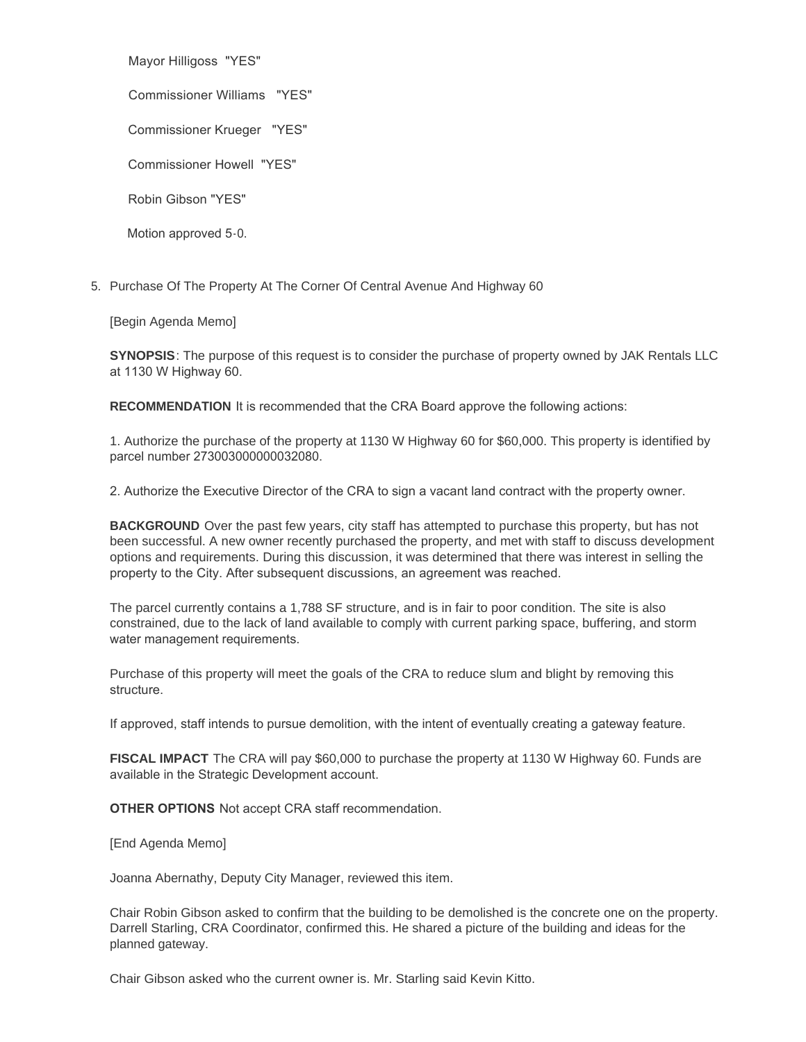Mayor Hilligoss "YES"

Commissioner Williams "YES"

Commissioner Krueger "YES"

Commissioner Howell "YES"

Robin Gibson "YES"

Motion approved 5-0.

5. Purchase Of The Property At The Corner Of Central Avenue And Highway 60

[Begin Agenda Memo]

**SYNOPSIS**: The purpose of this request is to consider the purchase of property owned by JAK Rentals LLC at 1130 W Highway 60.

**RECOMMENDATION** It is recommended that the CRA Board approve the following actions:

1. Authorize the purchase of the property at 1130 W Highway 60 for \$60,000. This property is identified by parcel number 273003000000032080.

2. Authorize the Executive Director of the CRA to sign a vacant land contract with the property owner.

**BACKGROUND** Over the past few years, city staff has attempted to purchase this property, but has not been successful. A new owner recently purchased the property, and met with staff to discuss development options and requirements. During this discussion, it was determined that there was interest in selling the property to the City. After subsequent discussions, an agreement was reached.

The parcel currently contains a 1,788 SF structure, and is in fair to poor condition. The site is also constrained, due to the lack of land available to comply with current parking space, buffering, and storm water management requirements.

Purchase of this property will meet the goals of the CRA to reduce slum and blight by removing this structure.

If approved, staff intends to pursue demolition, with the intent of eventually creating a gateway feature.

**FISCAL IMPACT** The CRA will pay \$60,000 to purchase the property at 1130 W Highway 60. Funds are available in the Strategic Development account.

**OTHER OPTIONS** Not accept CRA staff recommendation.

[End Agenda Memo]

Joanna Abernathy, Deputy City Manager, reviewed this item.

Chair Robin Gibson asked to confirm that the building to be demolished is the concrete one on the property. Darrell Starling, CRA Coordinator, confirmed this. He shared a picture of the building and ideas for the planned gateway.

Chair Gibson asked who the current owner is. Mr. Starling said Kevin Kitto.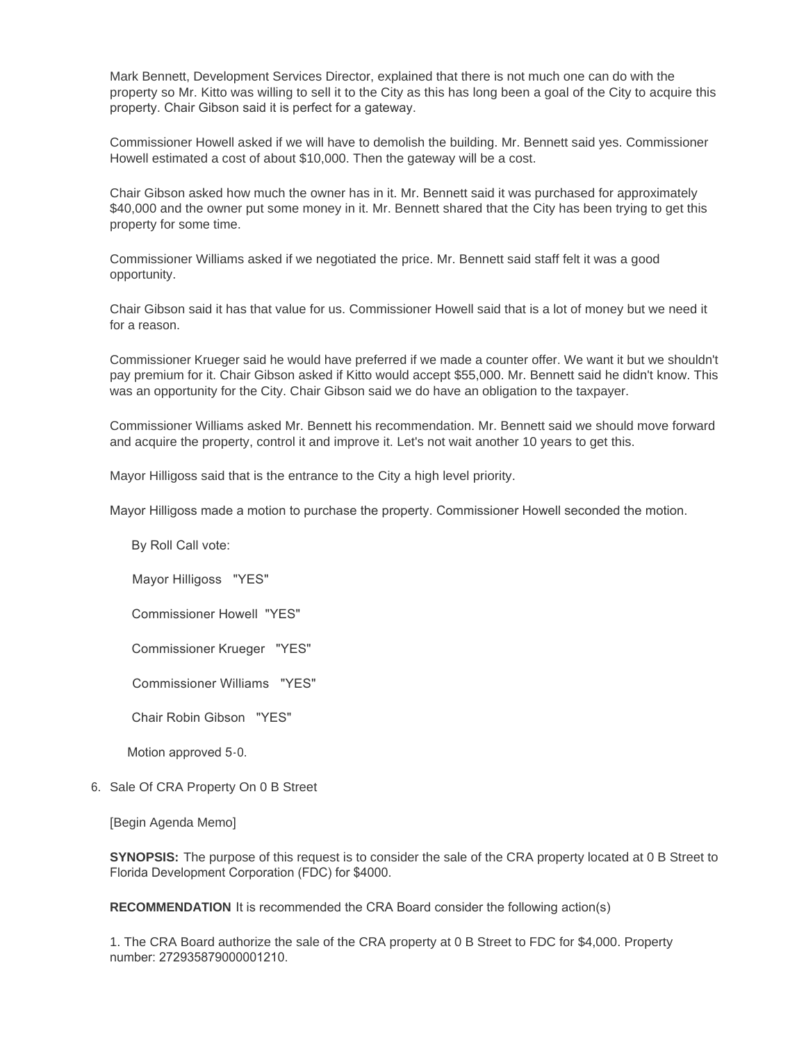Mark Bennett, Development Services Director, explained that there is not much one can do with the property so Mr. Kitto was willing to sell it to the City as this has long been a goal of the City to acquire this property. Chair Gibson said it is perfect for a gateway.

Commissioner Howell asked if we will have to demolish the building. Mr. Bennett said yes. Commissioner Howell estimated a cost of about \$10,000. Then the gateway will be a cost.

Chair Gibson asked how much the owner has in it. Mr. Bennett said it was purchased for approximately \$40,000 and the owner put some money in it. Mr. Bennett shared that the City has been trying to get this property for some time.

Commissioner Williams asked if we negotiated the price. Mr. Bennett said staff felt it was a good opportunity.

Chair Gibson said it has that value for us. Commissioner Howell said that is a lot of money but we need it for a reason.

Commissioner Krueger said he would have preferred if we made a counter offer. We want it but we shouldn't pay premium for it. Chair Gibson asked if Kitto would accept \$55,000. Mr. Bennett said he didn't know. This was an opportunity for the City. Chair Gibson said we do have an obligation to the taxpayer.

Commissioner Williams asked Mr. Bennett his recommendation. Mr. Bennett said we should move forward and acquire the property, control it and improve it. Let's not wait another 10 years to get this.

Mayor Hilligoss said that is the entrance to the City a high level priority.

Mayor Hilligoss made a motion to purchase the property. Commissioner Howell seconded the motion.

By Roll Call vote:

Mayor Hilligoss "YES"

Commissioner Howell "YES"

Commissioner Krueger "YES"

Commissioner Williams "YES"

Chair Robin Gibson "YES"

Motion approved 5-0.

6. Sale Of CRA Property On 0 B Street

[Begin Agenda Memo]

**SYNOPSIS:** The purpose of this request is to consider the sale of the CRA property located at 0 B Street to Florida Development Corporation (FDC) for \$4000.

**RECOMMENDATION** It is recommended the CRA Board consider the following action(s)

1. The CRA Board authorize the sale of the CRA property at 0 B Street to FDC for \$4,000. Property number: 272935879000001210.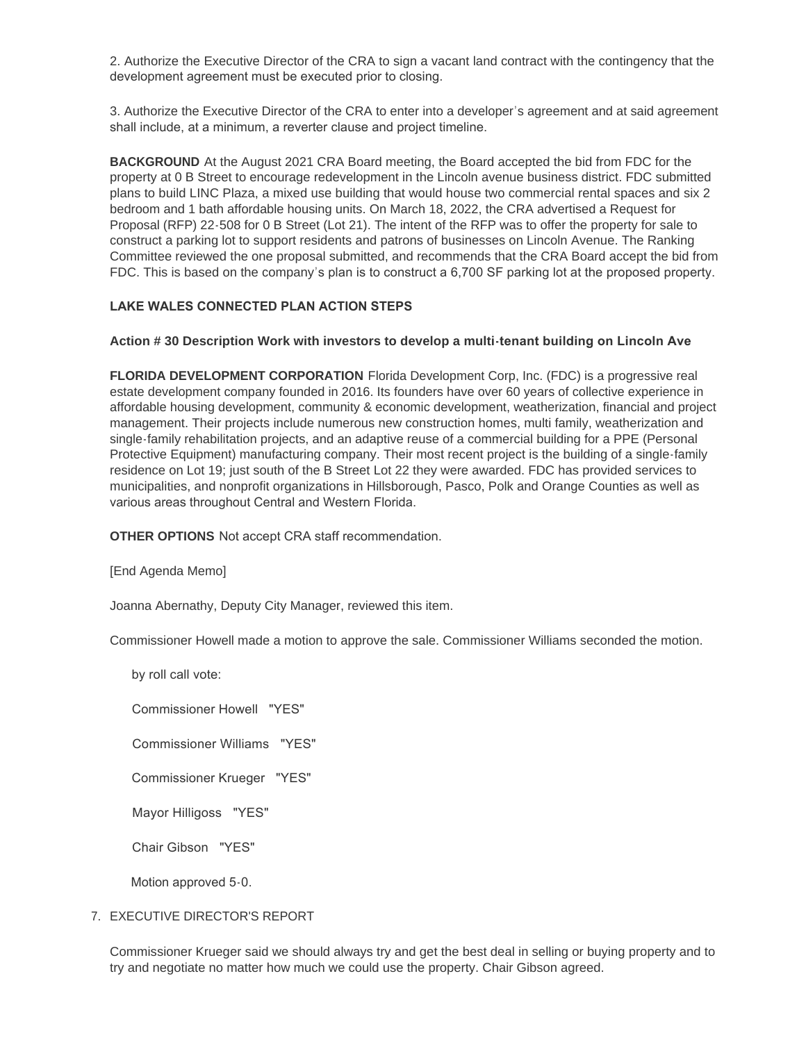2. Authorize the Executive Director of the CRA to sign a vacant land contract with the contingency that the development agreement must be executed prior to closing.

3. Authorize the Executive Director of the CRA to enter into a developer's agreement and at said agreement shall include, at a minimum, a reverter clause and project timeline.

**BACKGROUND** At the August 2021 CRA Board meeting, the Board accepted the bid from FDC for the property at 0 B Street to encourage redevelopment in the Lincoln avenue business district. FDC submitted plans to build LINC Plaza, a mixed use building that would house two commercial rental spaces and six 2 bedroom and 1 bath affordable housing units. On March 18, 2022, the CRA advertised a Request for Proposal (RFP) 22-508 for 0 B Street (Lot 21). The intent of the RFP was to offer the property for sale to construct a parking lot to support residents and patrons of businesses on Lincoln Avenue. The Ranking Committee reviewed the one proposal submitted, and recommends that the CRA Board accept the bid from FDC. This is based on the company's plan is to construct a 6,700 SF parking lot at the proposed property.

## **LAKE WALES CONNECTED PLAN ACTION STEPS**

#### **Action # 30 Description Work with investors to develop a multi-tenant building on Lincoln Ave**

**FLORIDA DEVELOPMENT CORPORATION** Florida Development Corp, Inc. (FDC) is a progressive real estate development company founded in 2016. Its founders have over 60 years of collective experience in affordable housing development, community & economic development, weatherization, financial and project management. Their projects include numerous new construction homes, multi family, weatherization and single-family rehabilitation projects, and an adaptive reuse of a commercial building for a PPE (Personal Protective Equipment) manufacturing company. Their most recent project is the building of a single-family residence on Lot 19; just south of the B Street Lot 22 they were awarded. FDC has provided services to municipalities, and nonprofit organizations in Hillsborough, Pasco, Polk and Orange Counties as well as various areas throughout Central and Western Florida.

**OTHER OPTIONS** Not accept CRA staff recommendation.

[End Agenda Memo]

Joanna Abernathy, Deputy City Manager, reviewed this item.

Commissioner Howell made a motion to approve the sale. Commissioner Williams seconded the motion.

by roll call vote:

Commissioner Howell "YES"

Commissioner Williams "YES"

Commissioner Krueger "YES"

Mayor Hilligoss "YES"

Chair Gibson "YES"

Motion approved 5-0.

#### 7. EXECUTIVE DIRECTOR'S REPORT

Commissioner Krueger said we should always try and get the best deal in selling or buying property and to try and negotiate no matter how much we could use the property. Chair Gibson agreed.